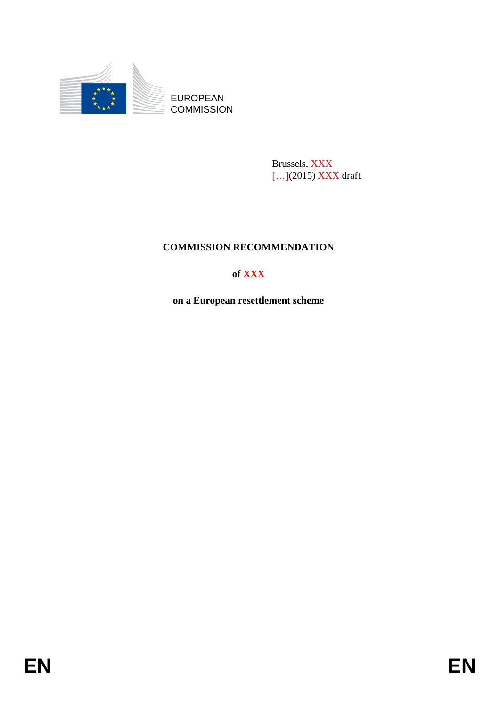

**COMMISSION** 

Brussels, XXX [...](2015) XXX draft

# **COMMISSION RECOMMENDATION**

# **of XXX**

**on a European resettlement scheme**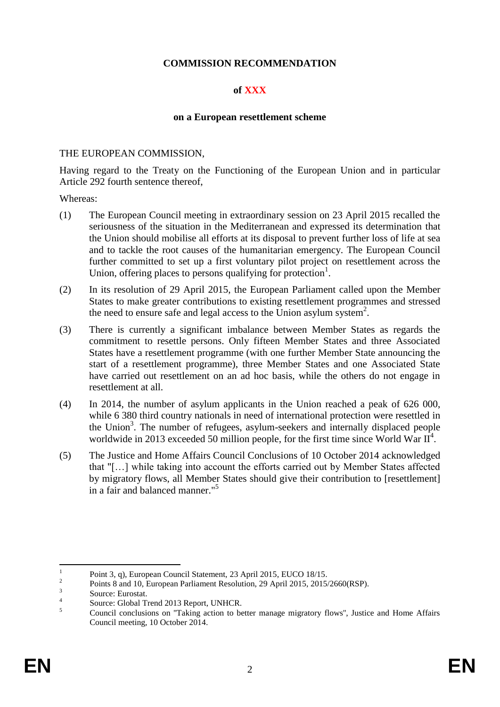# **COMMISSION RECOMMENDATION**

# **of XXX**

### **on a European resettlement scheme**

### THE EUROPEAN COMMISSION,

Having regard to the Treaty on the Functioning of the European Union and in particular Article 292 fourth sentence thereof,

Whereas:

- (1) The European Council meeting in extraordinary session on 23 April 2015 recalled the seriousness of the situation in the Mediterranean and expressed its determination that the Union should mobilise all efforts at its disposal to prevent further loss of life at sea and to tackle the root causes of the humanitarian emergency. The European Council further committed to set up a first voluntary pilot project on resettlement across the Union, offering places to persons qualifying for protection<sup>1</sup>.
- (2) In its resolution of 29 April 2015, the European Parliament called upon the Member States to make greater contributions to existing resettlement programmes and stressed the need to ensure safe and legal access to the Union asylum system<sup>2</sup>.
- (3) There is currently a significant imbalance between Member States as regards the commitment to resettle persons. Only fifteen Member States and three Associated States have a resettlement programme (with one further Member State announcing the start of a resettlement programme), three Member States and one Associated State have carried out resettlement on an ad hoc basis, while the others do not engage in resettlement at all.
- (4) In 2014, the number of asylum applicants in the Union reached a peak of 626 000, while 6 380 third country nationals in need of international protection were resettled in the Union<sup>3</sup>. The number of refugees, asylum-seekers and internally displaced people worldwide in 2013 exceeded 50 million people, for the first time since World War  $II<sup>4</sup>$ .
- (5) The Justice and Home Affairs Council Conclusions of 10 October 2014 acknowledged that "[…] while taking into account the efforts carried out by Member States affected by migratory flows, all Member States should give their contribution to [resettlement] in a fair and balanced manner."<sup>5</sup>

 $\frac{1}{1}$ Point 3, q), European Council Statement, 23 April 2015, EUCO 18/15.

 $\overline{2}$ Points 8 and 10, European Parliament Resolution, 29 April 2015, 2015/2660(RSP).

 $\overline{3}$ Source: Eurostat.

<sup>4</sup> Source: Global Trend 2013 Report, UNHCR.

<sup>&</sup>lt;sup>5</sup><br><sup>5</sup> Council conclusions on "Taking action to better manage migratory flows", Justice and Home Affairs Council meeting, 10 October 2014.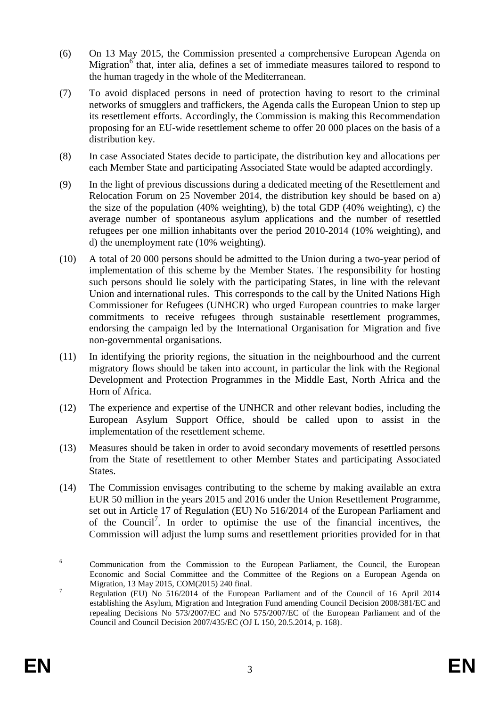- (6) On 13 May 2015, the Commission presented a comprehensive European Agenda on Migration $\delta$  that, inter alia, defines a set of immediate measures tailored to respond to the human tragedy in the whole of the Mediterranean.
- (7) To avoid displaced persons in need of protection having to resort to the criminal networks of smugglers and traffickers, the Agenda calls the European Union to step up its resettlement efforts. Accordingly, the Commission is making this Recommendation proposing for an EU-wide resettlement scheme to offer 20 000 places on the basis of a distribution key.
- (8) In case Associated States decide to participate, the distribution key and allocations per each Member State and participating Associated State would be adapted accordingly.
- (9) In the light of previous discussions during a dedicated meeting of the Resettlement and Relocation Forum on 25 November 2014, the distribution key should be based on a) the size of the population (40% weighting), b) the total GDP (40% weighting), c) the average number of spontaneous asylum applications and the number of resettled refugees per one million inhabitants over the period 2010-2014 (10% weighting), and d) the unemployment rate (10% weighting).
- (10) A total of 20 000 persons should be admitted to the Union during a two-year period of implementation of this scheme by the Member States. The responsibility for hosting such persons should lie solely with the participating States, in line with the relevant Union and international rules. This corresponds to the call by the United Nations High Commissioner for Refugees (UNHCR) who urged European countries to make larger commitments to receive refugees through sustainable resettlement programmes, endorsing the campaign led by the International Organisation for Migration and five non-governmental organisations.
- (11) In identifying the priority regions, the situation in the neighbourhood and the current migratory flows should be taken into account, in particular the link with the Regional Development and Protection Programmes in the Middle East, North Africa and the Horn of Africa.
- (12) The experience and expertise of the UNHCR and other relevant bodies, including the European Asylum Support Office, should be called upon to assist in the implementation of the resettlement scheme.
- (13) Measures should be taken in order to avoid secondary movements of resettled persons from the State of resettlement to other Member States and participating Associated States.
- (14) The Commission envisages contributing to the scheme by making available an extra EUR 50 million in the years 2015 and 2016 under the Union Resettlement Programme, set out in Article 17 of Regulation (EU) No 516/2014 of the European Parliament and of the Council<sup>7</sup>. In order to optimise the use of the financial incentives, the Commission will adjust the lump sums and resettlement priorities provided for in that

<sup>6</sup> <sup>6</sup> Communication from the Commission to the European Parliament, the Council, the European Economic and Social Committee and the Committee of the Regions on a European Agenda on Migration, 13 May 2015, COM(2015) 240 final.

<sup>&</sup>lt;sup>7</sup> Regulation (EU) No 516/2014 of the European Parliament and of the Council of 16 April 2014 establishing the Asylum, Migration and Integration Fund amending Council Decision 2008/381/EC and repealing Decisions No 573/2007/EC and No 575/2007/EC of the European Parliament and of the Council and Council Decision 2007/435/EC (OJ L 150, 20.5.2014, p. 168).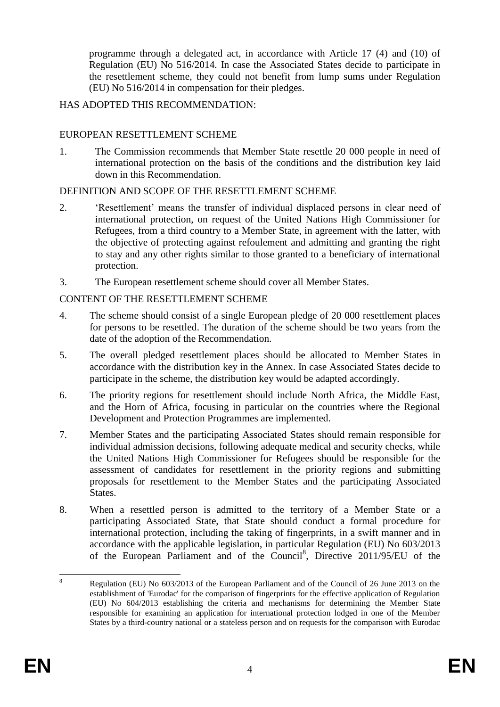programme through a delegated act, in accordance with Article 17 (4) and (10) of Regulation (EU) No 516/2014. In case the Associated States decide to participate in the resettlement scheme, they could not benefit from lump sums under Regulation (EU) No 516/2014 in compensation for their pledges.

# HAS ADOPTED THIS RECOMMENDATION:

## EUROPEAN RESETTLEMENT SCHEME

1. The Commission recommends that Member State resettle 20 000 people in need of international protection on the basis of the conditions and the distribution key laid down in this Recommendation.

# DEFINITION AND SCOPE OF THE RESETTLEMENT SCHEME

- 2. 'Resettlement' means the transfer of individual displaced persons in clear need of international protection, on request of the United Nations High Commissioner for Refugees, from a third country to a Member State, in agreement with the latter, with the objective of protecting against refoulement and admitting and granting the right to stay and any other rights similar to those granted to a beneficiary of international protection.
- 3. The European resettlement scheme should cover all Member States.

# CONTENT OF THE RESETTLEMENT SCHEME

- 4. The scheme should consist of a single European pledge of 20 000 resettlement places for persons to be resettled. The duration of the scheme should be two years from the date of the adoption of the Recommendation.
- 5. The overall pledged resettlement places should be allocated to Member States in accordance with the distribution key in the Annex. In case Associated States decide to participate in the scheme, the distribution key would be adapted accordingly.
- 6. The priority regions for resettlement should include North Africa, the Middle East, and the Horn of Africa, focusing in particular on the countries where the Regional Development and Protection Programmes are implemented.
- 7. Member States and the participating Associated States should remain responsible for individual admission decisions, following adequate medical and security checks, while the United Nations High Commissioner for Refugees should be responsible for the assessment of candidates for resettlement in the priority regions and submitting proposals for resettlement to the Member States and the participating Associated States.
- 8. When a resettled person is admitted to the territory of a Member State or a participating Associated State, that State should conduct a formal procedure for international protection, including the taking of fingerprints, in a swift manner and in accordance with the applicable legislation, in particular Regulation (EU) No 603/2013 of the European Parliament and of the Council<sup>8</sup>, Directive 2011/95/EU of the

 $\mathbf{\hat{x}}$ <sup>8</sup> Regulation (EU) No 603/2013 of the European Parliament and of the Council of 26 June 2013 on the establishment of 'Eurodac' for the comparison of fingerprints for the effective application of Regulation (EU) No 604/2013 establishing the criteria and mechanisms for determining the Member State responsible for examining an application for international protection lodged in one of the Member States by a third-country national or a stateless person and on requests for the comparison with Eurodac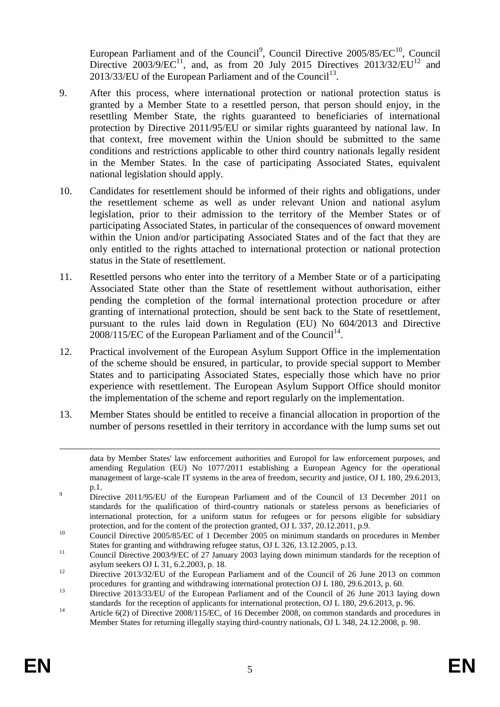European Parliament and of the Council<sup>9</sup>, Council Directive  $2005/85/EC^{10}$ , Council Directive  $2003/9/EC^{11}$ , and, as from 20 July 2015 Directives  $2013/32/EU^{12}$  and 2013/33/EU of the European Parliament and of the Council<sup>13</sup>.

- 9. After this process, where international protection or national protection status is granted by a Member State to a resettled person, that person should enjoy, in the resettling Member State, the rights guaranteed to beneficiaries of international protection by Directive 2011/95/EU or similar rights guaranteed by national law. In that context, free movement within the Union should be submitted to the same conditions and restrictions applicable to other third country nationals legally resident in the Member States. In the case of participating Associated States, equivalent national legislation should apply.
- 10. Candidates for resettlement should be informed of their rights and obligations, under the resettlement scheme as well as under relevant Union and national asylum legislation, prior to their admission to the territory of the Member States or of participating Associated States, in particular of the consequences of onward movement within the Union and/or participating Associated States and of the fact that they are only entitled to the rights attached to international protection or national protection status in the State of resettlement.
- 11. Resettled persons who enter into the territory of a Member State or of a participating Associated State other than the State of resettlement without authorisation, either pending the completion of the formal international protection procedure or after granting of international protection, should be sent back to the State of resettlement, pursuant to the rules laid down in Regulation (EU) No 604/2013 and Directive  $2008/115$ /EC of the European Parliament and of the Council<sup>14</sup>.
- 12. Practical involvement of the European Asylum Support Office in the implementation of the scheme should be ensured, in particular, to provide special support to Member States and to participating Associated States, especially those which have no prior experience with resettlement. The European Asylum Support Office should monitor the implementation of the scheme and report regularly on the implementation.
- 13. Member States should be entitled to receive a financial allocation in proportion of the number of persons resettled in their territory in accordance with the lump sums set out

 $\overline{a}$ 

data by Member States' law enforcement authorities and Europol for law enforcement purposes, and amending Regulation (EU) No 1077/2011 establishing a European Agency for the operational management of large-scale IT systems in the area of freedom, security and justice, OJ L 180, 29.6.2013, p.1.

<sup>&</sup>lt;sup>9</sup> Directive 2011/95/EU of the European Parliament and of the Council of 13 December 2011 on standards for the qualification of third-country nationals or stateless persons as beneficiaries of international protection, for a uniform status for refugees or for persons eligible for subsidiary protection, and for the content of the protection granted, OJ L 337, 20.12.2011, p.9.

<sup>10</sup> Council Directive 2005/85/EC of 1 December 2005 on minimum standards on procedures in Member States for granting and withdrawing refugee status, OJ L 326, 13.12.2005, p.13.

<sup>&</sup>lt;sup>11</sup> Council Directive 2003/9/EC of 27 January 2003 laying down minimum standards for the reception of asylum seekers OJ L 31, 6.2.2003, p. 18.

<sup>&</sup>lt;sup>12</sup> Directive 2013/32/EU of the European Parliament and of the Council of 26 June 2013 on common procedures for granting and withdrawing international protection OJ L 180, 29.6.2013, p. 60.

<sup>&</sup>lt;sup>13</sup> Directive 2013/33/EU of the European Parliament and of the Council of 26 June 2013 laying down standards for the reception of applicants for international protection, OJ L 180, 29.6.2013, p. 96.

<sup>&</sup>lt;sup>14</sup> Article 6(2) of Directive 2008/115/EC, of 16 December 2008, on common standards and procedures in Member States for returning illegally staying third-country nationals, OJ L 348, 24.12.2008, p. 98.